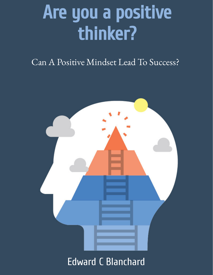# Are you a positive thinker?

## Can A Positive Mindset Lead To Success?



# Edward C Blanchard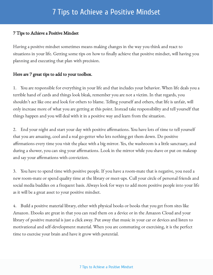## 7 Tips to Achieve a Positive Mindset

#### 7 Tips to Achieve a Positive Mindset

Having a positive mindset sometimes means making changes in the way you think and react to situations in your life. Getting some tips on how to finally achieve that positive mindset, will having you planning and executing that plan with precision.

#### Here are 7 great tips to add to your toolbox.

1. You are responsible for everything in your life and that includes your behavior. When life deals you a terrible hand of cards and things look bleak, remember you are not a victim. In that regards, you shouldn't act like one and look for others to blame. Telling yourself and others, that life is unfair, will only increase more of what you are getting at this point. Instead take responsibility and tell yourself that things happen and you will deal with it in a positive way and learn from the situation.

2. End your night and start your day with positive affirmations. You have lots of time to tell yourself that you are amazing, cool and a real go-getter who lets nothing get them down. Do positive affirmations every time you visit the place with a big mirror. Yes, the washroom is a little sanctuary, and during a shower, you can sing your affirmations. Look in the mirror while you shave or put on makeup and say your affirmations with conviction.

3. You have to spend time with positive people. If you have a room-mate that is negative, you need a new room-mate or spend quality time at the library or meet-ups. Cull your circle of personal friends and social media buddies on a frequent basis. Always look for ways to add more positive people into your life as it will be a great asset to your positive mindset.

4. Build a positive material library, either with physical books or books that you get from sites like Amazon. Ebooks are great in that you can read them on a device or in the Amazon Cloud and your library of positive material is just a click away. Put away that music in your car or devices and listen to motivational and self-development material. When you are commuting or exercising, it is the perfect time to exercise your brain and have it grow with potential.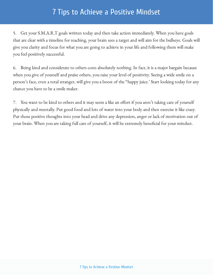## 7 Tips to Achieve a Positive Mindset

5. Get your S.M.A.R.T goals written today and then take action immediately. When you have goals that are clear with a timeline for reaching, your brain sees a target and will aim for the bullseye. Goals will give you clarity and focus for what you are going to achieve in your life and following them will make you feel positively successful.

6. Being kind and considerate to others costs absolutely nothing. In fact, it is a major bargain because when you give of yourself and praise others, you raise your level of positivity. Seeing a wide smile on a person's face, even a total stranger, will give you a boost of the "happy juice.' Start looking today for any chance you have to be a smile maker.

7. You want to be kind to others and it may seem a like an effort if you aren't taking care of yourself physically and mentally. Put good food and lots of water into your body and then exercise it like crazy. Put those positive thoughts into your head and drive any depression, anger or lack of motivation out of your brain. When you are taking full care of yourself, it will be extremely beneficial for your mindset.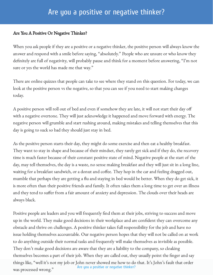### Are you a positive or negative thinker?

#### Are You A Positive Or Negative Thinker?

When you ask people if they are a positive or a negative thinker, the positive person will always know the answer and respond with a smile before saying, "absolutely." People who are unsure or who know they definitely are full of negativity, will probably pause and think for a moment before answering, "I'm not sure or yes the world has made me that way."

There are online quizzes that people can take to see where they stand on this question. For today, we can look at the positive person vs the negative, so that you can see if you need to start making changes today.

A positive person will roll out of bed and even if somehow they are late, it will not start their day o with a negative overtone. They will just acknowledge it happened and move forward with energy. The negative person will grumble and start rushing around, making mistakes and telling themselves that this day is going to suck so bad they should just stay in bed.

As the positive person starts their day, they might do some exercise and then eat a healthy breakfast. They want to stay in shape and because of their mindset, they rarely get sick and if they do, the recovery time is much faster because of their constant positive state of mind. Negative people at the start of the day, may tell themselves, the day is a waste, no sense making breakfast and they will just sit in a long line, waiting for a breakfast sandwich, or a donut and coffee. They hop in the car and feeling dragged out, mumble that perhaps they are getting a flu and staying in bed would be better. When they do get sick, it is more often than their positive friends and family. It often takes them a long time to get over an illness and they tend to suffer from a fair amount of anxiety and depression. The clouds over their heads are always black.

Positive people are leaders and you will frequently find them at their jobs, striving to success and move up in the world. They make good decisions in their workplace and are confident they can overcome any obstacle and thrive on challenges. A positive thinker takes full responsibility for the job and have no issue holding themselves accountable. Our negative person hopes that they will not be called on at work to do anything outside their normal tasks and frequently will make themselves as invisible as possible. They don't make good decisions are aware that they are a liability to the company, so cloaking themselves becomes a part of their job. When they are called out, they usually point the finger and say things like, "well it's not my job or John never showed me how to do that. It's John's fault that order was processed wrong." Are you a positive or [negative](http://webdesign-imagineers.co.uk/) thinker?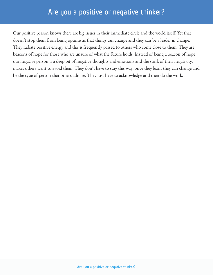Our positive person knows there are big issues in their immediate circle and the world itself. Yet that doesn't stop them from being optimistic that things can change and they can be a leader in change. They radiate positive energy and this is frequently passed to others who come close to them. They are beacons of hope for those who are unsure of what the future holds. Instead of being a beacon of hope, our negative person is a deep pit of negative thoughts and emotions and the stink of their negativity, makes others want to avoid them. They don't have to stay this way, once they learn they can change and be the type of person that others admire. They just have to acknowledge and then do the work.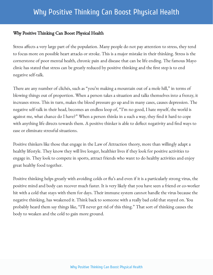#### Why Positive Thinking Can Boost Physical Health

Stress affects a very large part of the population. Many people do not pay attention to stress, they tend to focus more on possible heart attacks or stroke. This is a major mistake in their thinking. Stress is the cornerstone of poor mental health, chronic pain and disease that can be life ending. The famous Mayo clinic has stated that stress can be greatly reduced by positive thinking and the first step is to end negative self-talk.

There are any number of clichés, such as "you're making a mountain out of a mole hill," in terms of blowing things out of proportion. When a person takes a situation and talks themselves into a frenzy, it increases stress. This in turn, makes the blood pressure go up and in many cases, causes depression. The negative self-talk in their head, becomes an endless loop of, "I'm no good, I hate myself, the world is against me, what chance do I have?" When a person thinks in a such a way, they find it hard to cope with anything life directs towards them. A positive thinker is able to deflect negativity and find ways to ease or eliminate stressful situations.

Positive thinkers like those that engage in the Law of Attraction theory, more than willingly adapt a healthy lifestyle. They know they will live longer, healthier lives if they look for positive activities to engage in. They look to compete in sports, attract friends who want to do healthy activities and enjoy great healthy food together.

Positive thinking helps greatly with avoiding colds or flu's and even if it is a particularly strong virus, the positive mind and body can recover much faster. It is very likely that you have seen a friend or co-worker hit with a cold that stays with them for days. Their immune system cannot handle the virus because the negative thinking, has weakened it. Think back to someone with a really bad cold that stayed on. You probably heard them say things like, "I'll never get rid of this thing." That sort of thinking causes the body to weaken and the cold to gain more ground.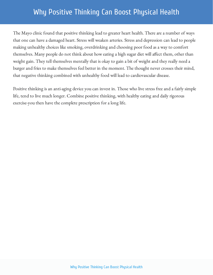## Why Positive Thinking Can Boost Physical Health

The Mayo clinic found that positive thinking lead to greater heart health. There are a number of ways that one can have a damaged heart. Stress will weaken arteries. Stress and depression can lead to people making unhealthy choices like smoking, overdrinking and choosing poor food as a way to comfort themselves. Many people do not think about how eating a high sugar diet will affect them, other than weight gain. They tell themselves mentally that is okay to gain a bit of weight and they really need a burger and fries to make themselves feel better in the moment. The thought never crosses their mind, that negative thinking combined with unhealthy food will lead to cardiovascular disease.

Positive thinking is an anti-aging device you can invest in. Those who live stress free and a fairly simple life, tend to live much longer. Combine positive thinking, with healthy eating and daily rigorous exercise-you then have the complete prescription for a long life.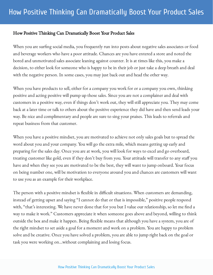#### How Positive Thinking Can Dramatically Boost Your Product Sales

When you are surfing social media, you frequently run into posts about negative sales associates or food and beverage workers who have a poor attitude. Chances are you have entered a store and noted the bored and unmotivated sales associate leaning against counter. It is at times like this, you make a decision, to either look for someone who is happy to be in their job or just take a deep breath and deal with the negative person. In some cases, you may just back out and head the other way.

When you have products to sell, either for a company you work for or a company you own, thinking positive and acting positive will pump up those sales. Since you are not a complainer and deal with customers in a positive way, even if things don't work out, they will still appreciate you. They may come back at a later time or talk to others about the positive experience they did have and then send leads your way. Be nice and complimentary and people are sure to sing your praises. This leads to referrals and repeat business from that customer.

When you have a positive mindset, you are motivated to achieve not only sales goals but to spread the word about you and your company. You will go the extra mile, which means getting up early and preparing for the sales day. Once you are at work, you will look for ways to excel and go overboard, treating customer like gold, even if they don't buy from you. Your attitude will transfer to any staff you have and when they see you are motivated to be the best, they will want to jump onboard. Your focus on being number one, will be motivation to everyone around you and chances are customers will want to use you as an example for their workplace.

The person with a positive mindset is flexible in difficult situations. When customers are demanding, instead of getting upset and saying "I cannot do that or that is impossible," positive people respond with, "that's interesting. We have never done that for you but I value our relationship, so let me find a way to make it work." Customers appreciate it when someone goes above and beyond, willing to think outside the box and make it happen. Being flexible means that although you have a system, you are of the right mindset to set aside a goal for a moment and work on a problem. You are happy to problem solve and be creative. Once you have solved a problem, you are able to jump right back on the goal or task you were working on…without complaining and losing focus.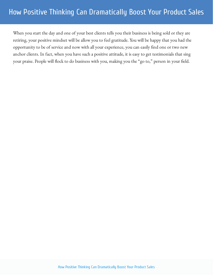When you start the day and one of your best clients tells you their business is being sold or they are retiring, your positive mindset will be allow you to feel gratitude. You will be happy that you had the opportunity to be of service and now with all your experience, you can easily find one or two new anchor clients. In fact, when you have such a positive attitude, it is easy to get testimonials that sing your praise. People will flock to do business with you, making you the "go to," person in your field.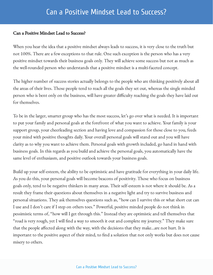#### Can a Positive Mindset Lead to Success?

When you hear the idea that a positive mindset always leads to success, it is very close to the truth but not 100%. There are a few exceptions to that rule. One such exception is the person who has a very positive mindset towards their business goals only. They will achieve some success but not as much as the well-rounded person who understands that a positive mindset is a multi-faceted concept.

The higher number of success stories actually belongs to the people who are thinking positively about all the areas of their lives. Those people tend to reach all the goals they set out, whereas the single minded person who is bent only on the business, will have greater difficulty reaching the goals they have laid out for themselves.

To be in the larger, smarter group who has the most success, let's go over what is needed. It is important to put your family and personal goals at the forefront of what you want to achieve. Your family is your support group, your cheerleading section and having love and compassion for those close to you, feeds your mind with positive thoughts daily. Your overall personal goals will stand out and you will have clarity as to why you want to achieve them. Personal goals with growth included, go hand in hand with business goals. In this regards as you build and achieve the personal goals, you automatically have the same level of enthusiasm, and positive outlook towards your business goals.

Build up your self-esteem, the ability to be optimistic and have gratitude for everything in your daily life. As you do this, your personal goals will become beacons of positivity. Those who focus on business goals only, tend to be negative thinkers in many areas. Their self-esteem is not where it should be. As a result they frame their questions about themselves in a negative light and try to survive business and personal situations. They ask themselves questions such as, "how can I survive this or what short cut can I use and I don't care if I step on others toes." Powerful, positive minded people do not think in pessimistic terms of, "how will I get through this." Instead they are optimistic and tell themselves that "road is very rough, yet I will find a way to smooth it out and complete my journey." They make sure that the people affected along with the way, with the decisions that they make...are not hurt. It is important to the positive aspect of their mind, to find a solution that not only works but does not cause misery to others.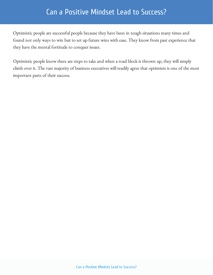## Can a Positive Mindset Lead to Success?

Optimistic people are successful people because they have been in tough situations many times and found not only ways to win but to set up future wins with ease. They know from past experience that they have the mental fortitude to conquer issues.

Optimistic people know there are steps to take and when a road block is thrown up, they will simply climb over it. The vast majority of business executives will readily agree that optimism is one of the most important parts of their success.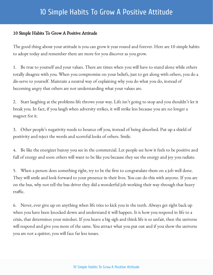## 10 Simple Habits To Grow A Positive Attitude

#### 10 Simple Habits To Grow A Positive Attitude

The good thing about your attitude is you can grow it year round and forever. Here are 10 simple habits to adopt today and remember there are more for you discover as you grow.

1. Be true to yourself and your values. There are times when you will have to stand alone while others totally disagree with you. When you compromise on your beliefs, just to get along with others, you do a dis-serve to yourself. Maintain a neutral way of explaining why you do what you do, instead of becoming angry that others are not understanding what your values are.

2. Start laughing at the problems life throws your way. Life isn't going to stop and you shouldn't let it break you. In fact, if you laugh when adversity strikes, it will strike less because you are no longer a magnet for it.

3. Other people's negativity needs to bounce off you, instead of being absorbed. Put up a shield of positivity and reject the words and scornful looks of others. Smile.

4. Be like the energizer bunny you see in the commercial. Let people see how it feels to be positive and full of energy and soon others will want to be like you because they see the energy and joy you radiate.

5. When a person does something right, try to be the first to congratulate them on a job well done. They will smile and look forward to your presence in their lives. You can do this with anyone. If you are on the bus, why not tell the bus driver they did a wonderful job working their way through that heavy  $traffic.$ 

6. Never, ever give up on anything when life tries to kick you in the teeth. Always get right back up when you have been knocked down and understand it will happen. It is how you respond in life to a crisis, that determines your mindset. If you heave a big sigh and think life is so unfair, then the universe will respond and give you more of the same. You attract what you put out and if you show the universe you are not a quitter, you will face far less issues.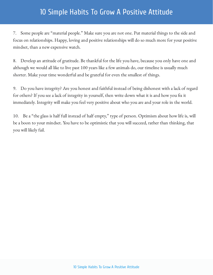## 10 Simple Habits To Grow A Positive Attitude

7. Some people are "material people." Make sure you are not one. Put material things to the side and focus on relationships. Happy, loving and positive relationships will do so much more for your positive mindset, than a new expensive watch.

8. Develop an attitude of gratitude. Be thankful for the life you have, because you only have one and although we would all like to live past 100 years like a few animals do, our timeline is usually much shorter. Make your time wonderful and be grateful for even the smallest of things.

9. Do you have integrity? Are you honest and faithful instead of being dishonest with a lack of regard for others? If you see a lack of integrity in yourself, then write down what it is and how you fix it immediately. Integrity will make you feel very positive about who you are and your role in the world.

10. Be a "the glass is half full instead of half empty," type of person. Optimism about how life is, will be a boon to your mindset. You have to be optimistic that you will succeed, rather than thinking, that you will likely fail.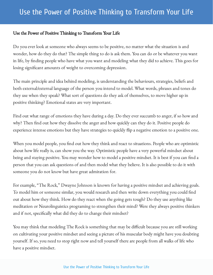#### Use the Power of Positive Thinking to Transform Your Life

Do you ever look at someone who always seems to be positive, no matter what the situation is and wonder, how do they do that? The simple thing to do is ask them. You can do or be whatever you want in life, by finding people who have what you want and modeling what they did to achieve. This goes for losing significant amounts of weight to overcoming depression.

The main principle and idea behind modeling, is understanding the behaviours, strategies, beliefs and both external/external language of the person you intend to model. What words, phrases and tones do they use when they speak? What sort of questions do they ask of themselves, to move higher up in positive thinking? Emotional states are very important.

Find out what range of emotions they have during a day. Do they ever succumb to anger, if so how and why? Then find out how they dissolve the anger and how quickly can they do it. Positive people do experience intense emotions but they have strategies to quickly flip a negative emotion to a positive one.

When you model people, you find out how they think and react to situations. People who are optimistic about how life really is, can show you the way. Optimistic people have a very powerful mindset about being and staying positive. You may wonder how to model a positive mindset. It is best if you can find a person that you can ask questions of and then model what they believe. It is also possible to do it with someone you do not know but have great admiration for.

For example, "The Rock," Dwayne Johnson is known for having a positive mindset and achieving goals. To model him or someone similar, you would research and then write down everything you could find out about how they think. How do they react when the going gets tough? Do they use anything like meditation or Neurolinguistics programing to strengthen their mind? Were they always positive thinkers and if not, specifically what did they do to change their mindset?

You may think that modeling The Rock is something that may be difficult because you are still working on cultivating your positive mindset and seeing a picture of his muscular body might have you doubting yourself. If so, you need to stop right now and tell yourself there are people from all walks of life who have a positive mindset.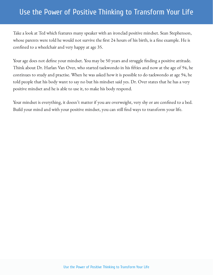## Use the Power of Positive Thinking to Transform Your Life

Take a look at Ted which features many speaker with an ironclad positive mindset. Sean Stephenson, whose parents were told he would not survive the first 24 hours of his birth, is a fine example. He is confined to a wheelchair and very happy at age 35.

Your age does not define your mindset. You may be 50 years and struggle finding a positive attitude. Think about Dr. Harlan Van Over, who started taekwondo in his fifties and now at the age of 94, he continues to study and practise. When he was asked how it is possible to do taekwondo at age 94, he told people that his body want to say no but his mindset said yes. Dr. Over states that he has a very positive mindset and he is able to use it, to make his body respond.

Your mindset is everything, it doesn't matter if you are overweight, very shy or are confined to a bed. Build your mind and with your positive mindset, you can still find ways to transform your life.